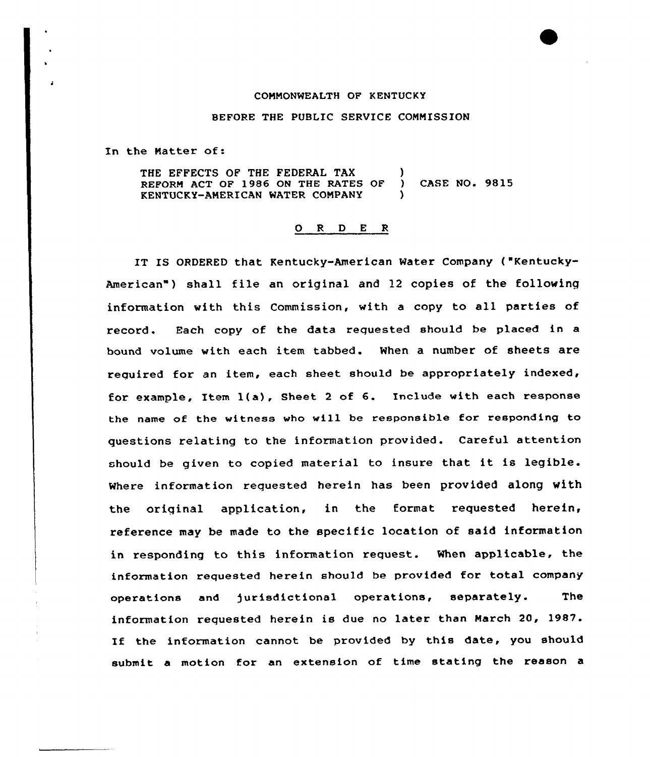## COMMONWEALTH OF KENTUCKY

## BEFORE THE PUBLIC SERVICE CONNISSION

In the Natter of:

THE EFFECTS OF THE FEDERAL TAX ( REFORM ACT OF 1986 ON THE RATES OF ) CASE NO. 9815 KENTUCKY-AMERICAN WATER COMPANY

## 0 <sup>R</sup> <sup>D</sup> E <sup>R</sup>

IT IS ORDERED that Kentucky-American Water Company ("Kentucky-American") shall file an original and 12 copies of the following information with this Commission, with <sup>a</sup> copy to all parties of record. Bach copy of the data requested should be placed in a bound volume with each item tabbed. When a number of sheets are required for an item, each sheet should be appropriately indexed, for example, Item l(a), Sheet <sup>2</sup> of 6. Include with each response the name of the witness who will be responsible for responding to questions relating to the information provided. Careful attention should be given to copied material to insure that it is legible. where information requested herein has been provided along with the original application, in the format requested herein, reference may be made to the specific location of said information in responding to this information request. When applicable, the information requested herein shou1d be provided for total company operations and jurisdictional operations, separately. The information requested herein is due no later than March 20, 1987. If the information cannot be provided by this date, you should submit a motion for an extension of time stating the reason a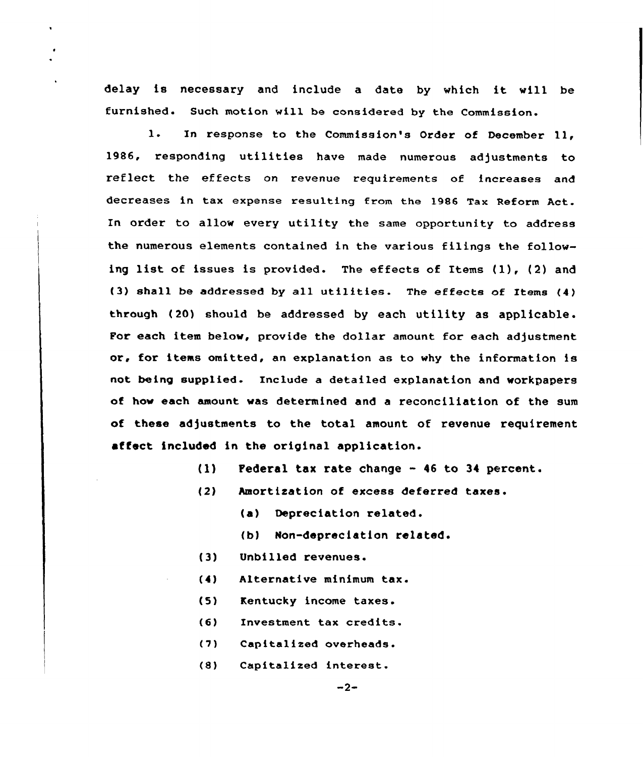delay is necessary and include <sup>a</sup> date by which it vill be furnished. Such motion will be considered by the Commission.

1. In response to the Commission's Order of December 11. 1986, responding utilities have made numerous adjustments to reflect the effects on revenue requirements of increases and decreases in tax expense resulting trom the 1986 Tax Reform Act. En order to allow every utility the same opportunity to address the numerous elements contained in the various filings the following list of issues is provided. The effects of Items {1), {2) and (3) shall be addressed by all utilities. The effects of Items (4) through (20) should be addressed by each utility as applicable. Por each item below, provide the dollar amount for each adjustment or, for items omitted, an explanation as to vhy the information is not being supplied. Include a detailed explanation and workpapers of hov each amount vas determined and a reconciliation of the sum of these adjustments to the total amount of revenue requirement affect included in the original application.

- {1) Federal tax rate change <sup>46</sup> to <sup>34</sup> percent.
- (2) hmortization of excess deferred
	- Depreciation related.
	- (b) Non-depreciation related.
- {3) Unbilled revenues.
- $(4)$ Alternative minimum tax.
- (5) Kentucky income taxes.
- $(6)$ Investment tax credits.
- $(7)$ Capitalized overheads.
- $(8)$ Capitalized interest.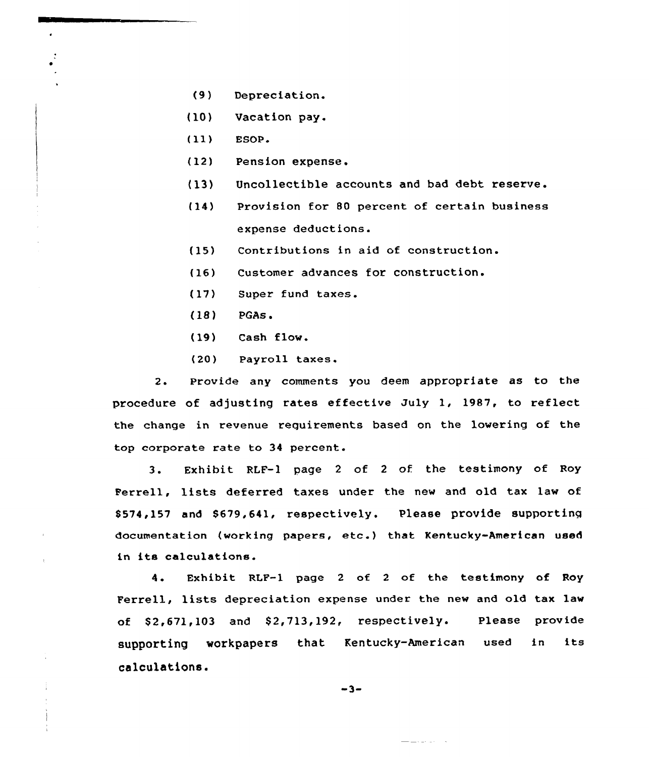- {9) Depreciation.
- (10) Vacation pay.
- (ll) ESOP.
- (12) Pension expense.
- (13} Uncollectible accounts and bad debt reserve.
- (14) Provision for 80 percent of certain business expense deductions.
- (15) Contributions in aid of construction.
- (16) Customer advances for construction.
- (17) Super fund taxes.
- $(18)$  PGAs.
- (19) Cash flow.
- (20) Payroll taxes.

2. Provide any comments you deem appropriate as to the procedure of adjusting rates effective July 1, 1987, to reflect the change in revenue requirements based on the lowering of the top corporate rate to 34 percent.

3. Exhibit RLF-1 page <sup>2</sup> of <sup>2</sup> of the testimony of Roy Perrell, lists deferred taxes under the new and old tax law of \$574,157 and \$679,641, respectively. Please provide supporting documentation (working papers, etc.) that Kentucky-American used in its calculations.

<sup>4</sup> Exhibit RLF-1 page <sup>2</sup> of <sup>2</sup> of the testimony of Roy Ferrell, lists depreciation expense under the new and old tax law of  $$2,671,103$  and  $$2,713,192$ , respectively. Please provide supporting workpapers that Kentucky-American used in its calculations.

$$
-3-
$$

<u> La La</u> La La Maria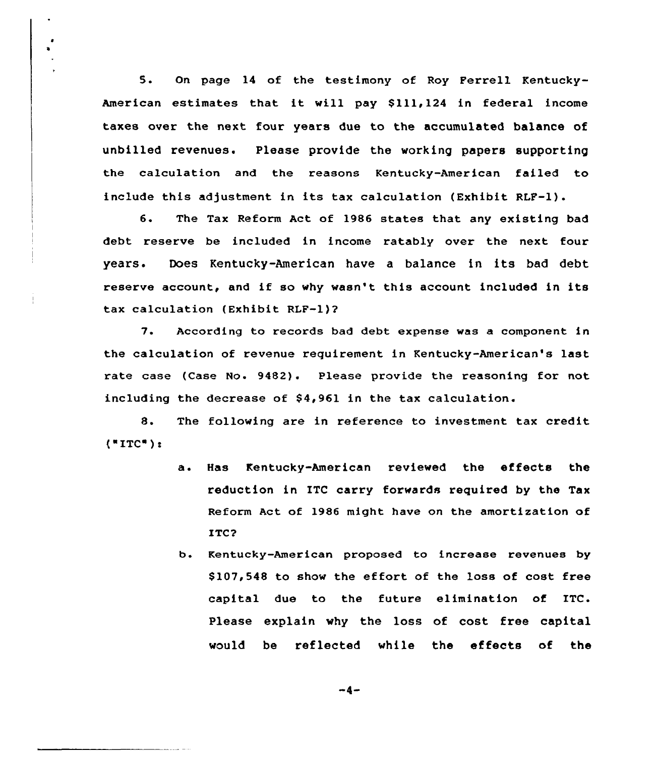5. On page <sup>14</sup> of the testimony of Roy Ferrell Kentucky-American estimates that it will pay \$111,124 in federal income taxes over the next four years due to the accumulated balance of unbilled revenues. Please provide the working papers supporting the calculation and the reasons Kentucky-American failed to include this adjustment in its tax calculation (Exhibit RLF-1).

6. The Tax Reform Act of 1986 states that any existing bad debt reserve be included in income ratably over the next four years. Does Kentucky-American have <sup>a</sup> balance in its bad debt reserve account, and if so why wasn't this account included in its tax calculation (Exhibit RLF-1)?

7. According to records bad debt expense was a component in the calculation of revenue requirement in Kentucky-American's last rate case (Case No. 9482). Please provide the reasoning for not. including the decrease of  $$4,961$  in the tax calculation.

8. The following are in reference to investment tax credit  $($  "ITC"):

- a. Has Kentucky-American reviewed the effects the reduction in ITC carry forwards required by the Tax Reform Act of 1986 might have on the amortization of ITC?
- b. Kentucky-American proposed to increase revenues by \$ 107,548 to show the effort of the loss of cost free capital due to the future elimination of ITC. Please explain why the loss of cost free capital would be reflected while the effects of the

 $-4-$